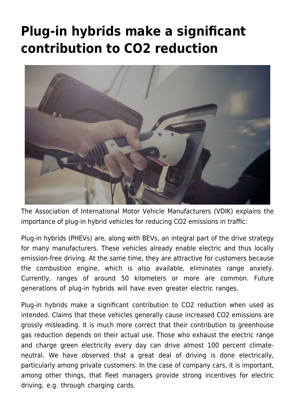## **[Plug-in hybrids make a significant](https://www.vdik.de/en/2020/plug-in-hybrids-make-a-significant-contribution-to-co2-reduction/) [contribution to CO2 reduction](https://www.vdik.de/en/2020/plug-in-hybrids-make-a-significant-contribution-to-co2-reduction/)**



The Association of International Motor Vehicle Manufacturers (VDIK) explains the importance of plug-in hybrid vehicles for reducing CO2 emissions in traffic:

Plug-in hybrids (PHEVs) are, along with BEVs, an integral part of the drive strategy for many manufacturers. These vehicles already enable electric and thus locally emission-free driving. At the same time, they are attractive for customers because the combustion engine, which is also available, eliminates range anxiety. Currently, ranges of around 50 kilometers or more are common. Future generations of plug-in hybrids will have even greater electric ranges.

Plug-in hybrids make a significant contribution to CO2 reduction when used as intended. Claims that these vehicles generally cause increased CO2 emissions are grossly misleading. It is much more correct that their contribution to greenhouse gas reduction depends on their actual use. Those who exhaust the electric range and charge green electricity every day can drive almost 100 percent climateneutral. We have observed that a great deal of driving is done electrically, particularly among private customers. In the case of company cars, it is important, among other things, that fleet managers provide strong incentives for electric driving, e.g. through charging cards.